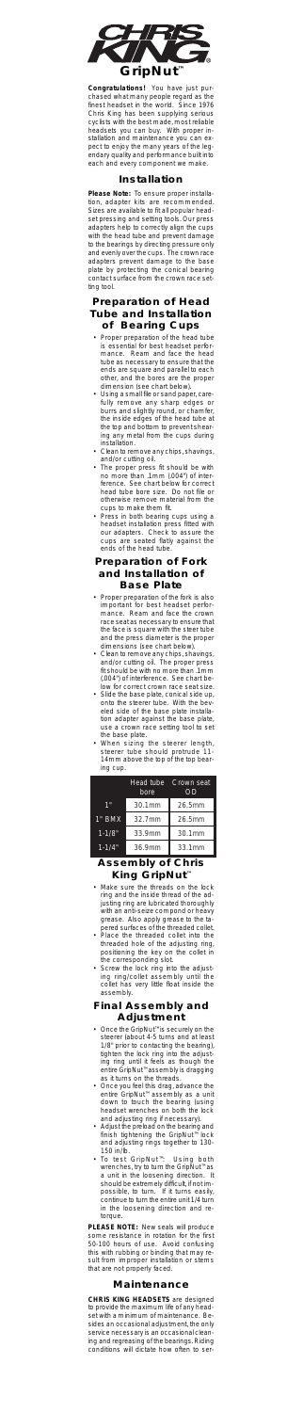

Congratulations! You have just pur-<br>chased what many people regard as the<br>finest headset in the world. Since 1976<br>Chris King has been supplying serious<br>cyclists with the best made, most reliable<br>headsets you can buy. With

#### **Installation**

**Please Mo**te: lo ensure proper installa-<br>clion, adapter kits are recommended.<br>Sizes are available to fit all popular head-<br>set pressing and setting tools. Our press<br>adapters help to correctly align the cups<br>with the head

#### **Preparation of Head Tube and Installation of Bearing Cups**

- 
- Proper preparation of the head tube<br>experimental of the season that the manneous central for the bead terfor-<br>manneous Reemann of acce the head only only the as necessary to ensure that the<br>ends are square and parallel to
- 
- 
- 

## **Preparation of Fork and Installation of**

- **Base Plate**<br> **Engrey propartion** of the fork is also<br>
important for best headset performance. Ream and face the crown<br>
mace sead as necessary to ensure that<br>
the face is square with the steet tube<br>
and the press diameter
- 
- 
- 

|            | Head tube<br>bore | Crown seat<br>ΩD |
|------------|-------------------|------------------|
| 1"         | 30.1mm            | 26.5mm           |
| $1"$ BMX   | 32.7mm            | 26.5mm           |
| $1 - 1/8"$ | 33.9mm            | 30.1mm           |
| $1 - 1/4"$ | 36.9mm            | 33.1mm           |
|            |                   |                  |

# **Assembly of Chris**

- **King GripNut"**<br>
Make sure the threads on the lock<br>
mig and the inside threads on the ad-<br>
justing ring are lubricated thoroughly<br>
with an anti-scize compond or heavy<br>
grease. Also apply grease to the ta-<br>
pered surfaces o
	-
- 
- 

#### **Final Assembly and Adjustment**

- 
- 
- 
- Once the GripNut" is securely on the secure of the GripNut" and leads 1/8" prior to contacting the bearing), ting ring or the adiastic ing ring or that leads the anity of any of the adiastic once you feel this drag advanc

**PLEASE NOTE:** New seals will produce<br>Some resistance in rotation for the first<br>50-100 hours of use. Avoid confusing<br>this with rubbing or binding that may re-<br>sult from improper installation or stems<br>that are not properly

### **Maintenar**

CHRIS KING HEADSETS are designed<br>to provide the maximum life of any head-<br>set with a minimum of maintenance. Be-<br>sides an occasional adjustment, the only<br>service necessary is an occasional clean-<br>ing and regreasing of the